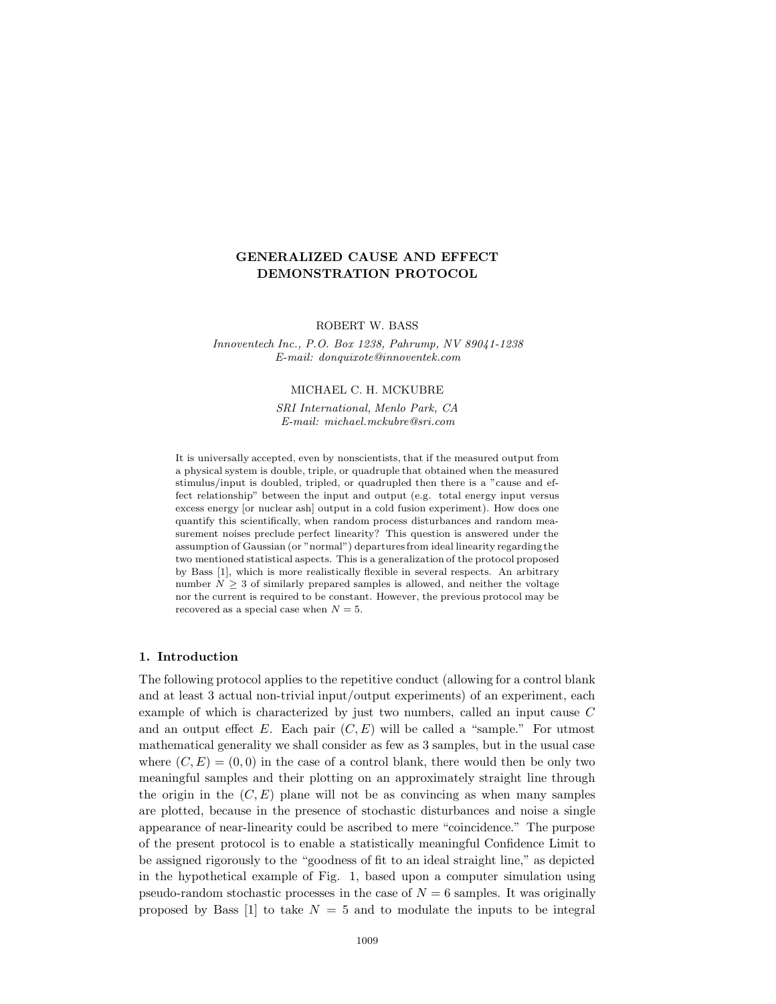# **GENERALIZED CAUSE AND EFFECT DEMONSTRATION PROTOCOL**

ROBERT W. BASS

*Innoventech Inc., P.O. Box 1238, Pahrump, NV 89041-1238 E-mail: donquixote@innoventek.com*

### MICHAEL C. H. MCKUBRE

*SRI International, Menlo Park, CA E-mail: michael.mckubre@sri.com*

It is universally accepted, even by nonscientists, that if the measured output from a physical system is double, triple, or quadruple that obtained when the measured stimulus/input is doubled, tripled, or quadrupled then there is a "cause and effect relationship" between the input and output (e.g. total energy input versus excess energy [or nuclear ash] output in a cold fusion experiment). How does one quantify this scientifically, when random process disturbances and random measurement noises preclude perfect linearity? This question is answered under the assumption of Gaussian (or "normal") departures from ideal linearity regarding the two mentioned statistical aspects. This is a generalization of the protocol proposed by Bass [1], which is more realistically flexible in several respects. An arbitrary number  $N \geq 3$  of similarly prepared samples is allowed, and neither the voltage nor the current is required to be constant. However, the previous protocol may be recovered as a special case when  $N = 5$ .

### **1. Introduction**

The following protocol applies to the repetitive conduct (allowing for a control blank and at least 3 actual non-trivial input/output experiments) of an experiment, each example of which is characterized by just two numbers, called an input cause C and an output effect  $E$ . Each pair  $(C, E)$  will be called a "sample." For utmost mathematical generality we shall consider as few as 3 samples, but in the usual case where  $(C, E) = (0, 0)$  in the case of a control blank, there would then be only two meaningful samples and their plotting on an approximately straight line through the origin in the  $(C, E)$  plane will not be as convincing as when many samples are plotted, because in the presence of stochastic disturbances and noise a single appearance of near-linearity could be ascribed to mere "coincidence." The purpose of the present protocol is to enable a statistically meaningful Confidence Limit to be assigned rigorously to the "goodness of fit to an ideal straight line," as depicted in the hypothetical example of Fig. 1, based upon a computer simulation using pseudo-random stochastic processes in the case of  $N = 6$  samples. It was originally proposed by Bass [1] to take  $N = 5$  and to modulate the inputs to be integral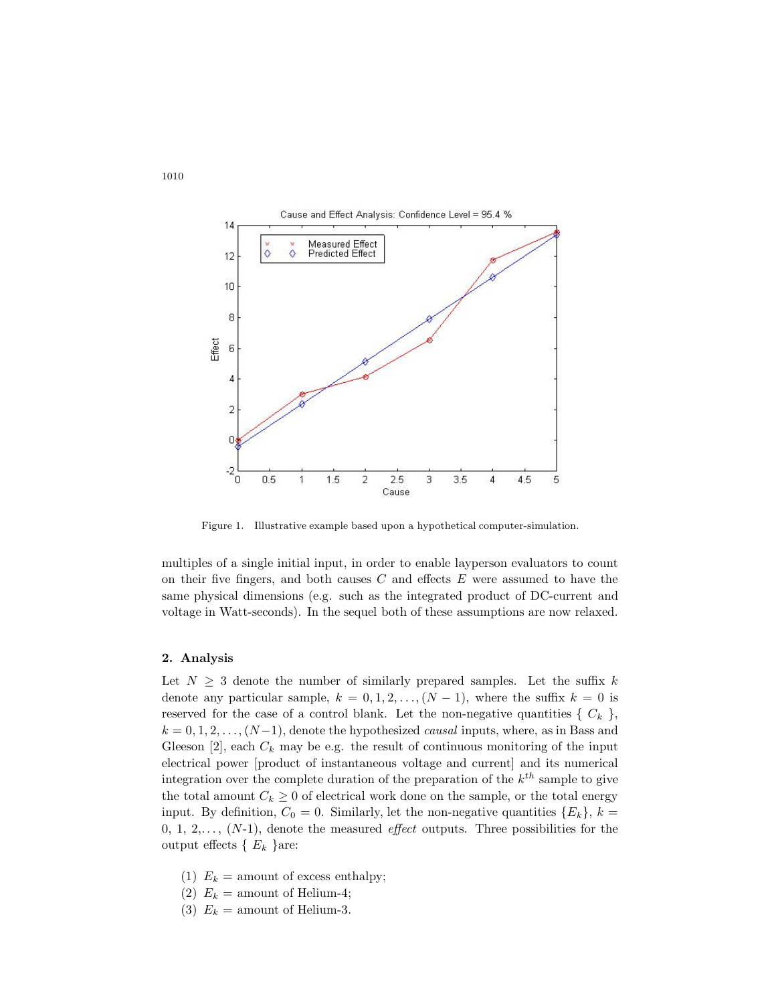

Figure 1. Illustrative example based upon a hypothetical computer-simulation.

multiples of a single initial input, in order to enable layperson evaluators to count on their five fingers, and both causes  $C$  and effects  $E$  were assumed to have the same physical dimensions (e.g. such as the integrated product of DC-current and voltage in Watt-seconds). In the sequel both of these assumptions are now relaxed.

#### **2. Analysis**

Let  $N \geq 3$  denote the number of similarly prepared samples. Let the suffix k denote any particular sample,  $k = 0, 1, 2, \ldots, (N-1)$ , where the suffix  $k = 0$  is reserved for the case of a control blank. Let the non-negative quantities  $\{C_k\}$ ,  $k = 0, 1, 2, \ldots, (N-1)$ , denote the hypothesized *causal* inputs, where, as in Bass and Gleeson  $[2]$ , each  $C_k$  may be e.g. the result of continuous monitoring of the input electrical power [product of instantaneous voltage and current] and its numerical integration over the complete duration of the preparation of the k*th* sample to give the total amount  $C_k \geq 0$  of electrical work done on the sample, or the total energy input. By definition,  $C_0 = 0$ . Similarly, let the non-negative quantities  $\{E_k\}, k =$  $0, 1, 2, \ldots, (N-1)$ , denote the measured *effect* outputs. Three possibilities for the output effects  $\{ E_k \}$ are:

- (1)  $E_k$  = amount of excess enthalpy;
- (2)  $E_k =$  amount of Helium-4;
- (3)  $E_k$  = amount of Helium-3.

1010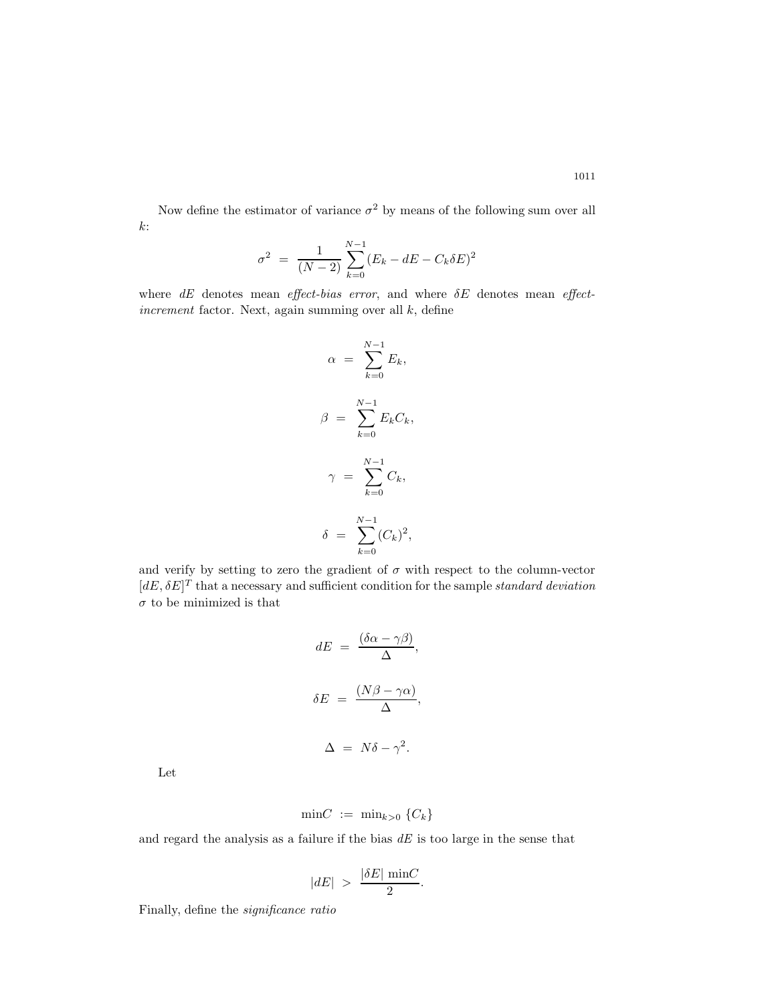Now define the estimator of variance  $\sigma^2$  by means of the following sum over all  $k$ :

$$
\sigma^2 = \frac{1}{(N-2)} \sum_{k=0}^{N-1} (E_k - dE - C_k \delta E)^2
$$

where *dE* denotes mean *effect-bias error*, and where δE denotes mean *effectincrement* factor. Next, again summing over all k, define

$$
\alpha = \sum_{k=0}^{N-1} E_k,
$$
  

$$
\beta = \sum_{k=0}^{N-1} E_k C_k,
$$
  

$$
\gamma = \sum_{k=0}^{N-1} C_k,
$$
  

$$
\delta = \sum_{k=0}^{N-1} (C_k)^2,
$$

and verify by setting to zero the gradient of  $\sigma$  with respect to the column-vector  $[dE, \delta E]^T$  that a necessary and sufficient condition for the sample *standard deviation*  $\sigma$  to be minimized is that

$$
dE = \frac{(\delta \alpha - \gamma \beta)}{\Delta},
$$

$$
\delta E = \frac{(N\beta - \gamma \alpha)}{\Delta},
$$

$$
\Delta = N\delta - \gamma^2.
$$

Let

$$
\min C := \min_{k>0} \{C_k\}
$$

and regard the analysis as a failure if the bias *dE* is too large in the sense that

$$
|dE| \ > \ \frac{|\delta E|}{2} \frac{\min C}{2}.
$$

Finally, define the *significance ratio*